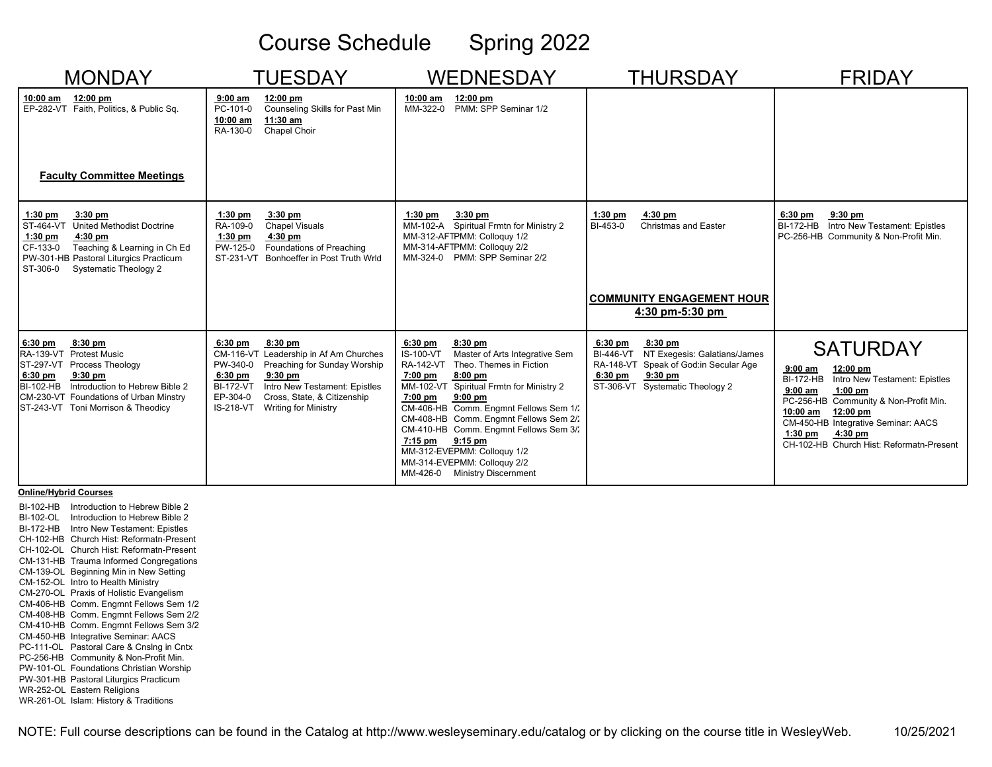# Course Schedule Spring 2022

| <b>MONDAY</b>                                                                                                                                                                                                                   | <b>TUESDAY</b>                                                                                                                                                                                                                                                                   | <b>WEDNESDAY</b>                                                                                                                                                                                                                                                                                                                                                                                                                                                           | <b>THURSDAY</b>                                                                                                                                                         | <b>FRIDAY</b>                                                                                                                                                                                                                                                                                       |
|---------------------------------------------------------------------------------------------------------------------------------------------------------------------------------------------------------------------------------|----------------------------------------------------------------------------------------------------------------------------------------------------------------------------------------------------------------------------------------------------------------------------------|----------------------------------------------------------------------------------------------------------------------------------------------------------------------------------------------------------------------------------------------------------------------------------------------------------------------------------------------------------------------------------------------------------------------------------------------------------------------------|-------------------------------------------------------------------------------------------------------------------------------------------------------------------------|-----------------------------------------------------------------------------------------------------------------------------------------------------------------------------------------------------------------------------------------------------------------------------------------------------|
| 10:00 am<br>12:00 pm<br>EP-282-VT Faith, Politics, & Public Sq.<br><b>Faculty Committee Meetings</b>                                                                                                                            | 12:00 pm<br>$9:00$ am<br>Counseling Skills for Past Min<br>PC-101-0<br>10:00 am<br>11:30 am<br>Chapel Choir<br>RA-130-0                                                                                                                                                          | 12:00 pm<br>10:00 am<br>PMM: SPP Seminar 1/2<br>MM-322-0                                                                                                                                                                                                                                                                                                                                                                                                                   |                                                                                                                                                                         |                                                                                                                                                                                                                                                                                                     |
| $3:30$ pm<br>$1:30$ pm<br>ST-464-VT United Methodist Doctrine<br>4:30 pm<br>$1:30$ pm<br>Teaching & Learning in Ch Ed<br>CF-133-0<br>PW-301-HB Pastoral Liturgics Practicum<br>ST-306-0<br><b>Systematic Theology 2</b>         | $1:30$ pm<br>$3:30$ pm<br>RA-109-0<br><b>Chapel Visuals</b><br>4:30 pm<br>$1:30$ pm<br>Foundations of Preaching<br>PW-125-0<br>Bonhoeffer in Post Truth Wrld<br>ST-231-VT                                                                                                        | $1:30$ pm<br>$3:30$ pm<br>MM-102-A Spiritual Frmtn for Ministry 2<br>MM-312-AFTPMM: Colloquy 1/2<br>MM-314-AFTPMM: Colloquy 2/2<br>MM-324-0 PMM: SPP Seminar 2/2                                                                                                                                                                                                                                                                                                           | $4:30$ pm<br>$1:30$ pm<br><b>Christmas and Easter</b><br>BI-453-0<br><b>COMMUNITY ENGAGEMENT HOUR</b><br>4:30 pm-5:30 pm                                                | $9:30$ pm<br>6:30 pm<br>BI-172-HB Intro New Testament: Epistles<br>PC-256-HB Community & Non-Profit Min.                                                                                                                                                                                            |
| 6:30 pm<br>8:30 pm<br>RA-139-VT Protest Music<br>ST-297-VT Process Theology<br>6:30 pm<br>$9:30$ pm<br>BI-102-HB Introduction to Hebrew Bible 2<br>CM-230-VT Foundations of Urban Minstry<br>ST-243-VT Toni Morrison & Theodicy | 8:30 pm<br>$6:30$ pm<br>CM-116-VT Leadership in Af Am Churches<br>Preaching for Sunday Worship<br>PW-340-0<br>$9:30$ pm<br>$6:30$ pm<br>Intro New Testament: Epistles<br><b>BI-172-VT</b><br>EP-304-0<br>Cross, State, & Citizenship<br>IS-218-VT<br><b>Writing for Ministry</b> | 6:30 pm<br>$8:30$ pm<br><b>IS-100-VT</b><br>Master of Arts Integrative Sem<br><b>RA-142-VT</b><br>Theo. Themes in Fiction<br>7:00 pm<br>8:00 pm<br>MM-102-VT Spiritual Frmtn for Ministry 2<br>$7:00$ pm<br>$9:00$ pm<br>CM-406-HB Comm. Engmnt Fellows Sem 1/2<br>CM-408-HB Comm. Engmnt Fellows Sem 2/2<br>CM-410-HB Comm. Engmnt Fellows Sem 3/2<br>7:15 pm<br>$9:15$ pm<br>MM-312-EVEPMM: Colloquy 1/2<br>MM-314-EVEPMM: Colloquy 2/2<br>MM-426-0 Ministry Discernment | $6:30$ pm<br>$8:30$ pm<br>NT Exegesis: Galatians/James<br>BI-446-VT<br>RA-148-VT Speak of God:in Secular Age<br>$9:30$ pm<br>6:30 pm<br>ST-306-VT Systematic Theology 2 | <b>SATURDAY</b><br>$9:00$ am<br>12:00 pm<br><b>BI-172-HB</b><br>Intro New Testament: Epistles<br>$9:00$ am<br>$1:00$ pm<br>PC-256-HB Community & Non-Profit Min.<br>10:00 am<br>12:00 pm<br>CM-450-HB Integrative Seminar: AACS<br>$1:30$ pm<br>4:30 pm<br>CH-102-HB Church Hist: Reformatn-Present |

#### **Online/Hybrid Courses**

BI-102-HB Introduction to Hebrew Bible 2BI-102-OL Introduction to Hebrew Bible 2 BI-172-HB Intro New Testament: Epistles CH-102-HB Church Hist: Reformatn-Present CH-102-OL Church Hist: Reformatn-Present CM-131-HB Trauma Informed Congregations CM-139-OL Beginning Min in New Setting CM-152-OL Intro to Health Ministry CM-270-OL Praxis of Holistic Evangelism CM-406-HB Comm. Engmnt Fellows Sem 1/2 CM-408-HB Comm. Engmnt Fellows Sem 2/2 CM-410-HB Comm. Engmnt Fellows Sem 3/2 CM-450-HB Integrative Seminar: AACS PC-111-OL Pastoral Care & Cnslng in Cntx PC-256-HB Community & Non-Profit Min. PW-101-OL Foundations Christian Worship PW-301-HB Pastoral Liturgics Practicum WR-252-OL Eastern Religions WR-261-OL Islam: History & Traditions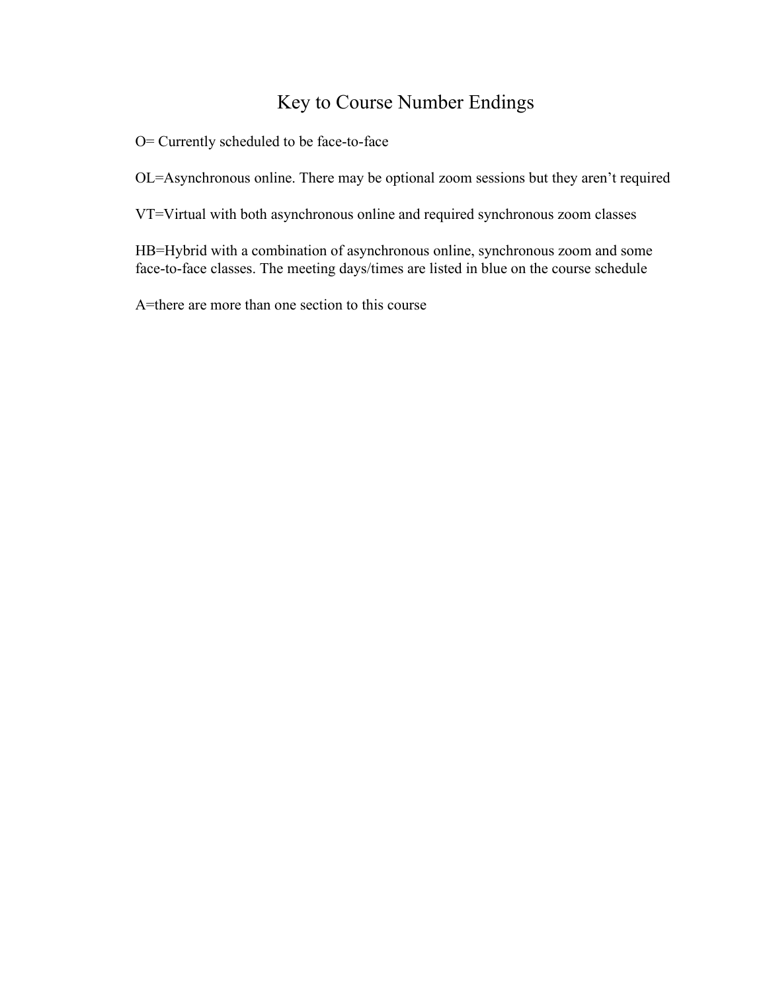# Key to Course Number Endings

O= Currently scheduled to be face-to-face

OL=Asynchronous online. There may be optional zoom sessions but they aren't required

VT=Virtual with both asynchronous online and required synchronous zoom classes

HB=Hybrid with a combination of asynchronous online, synchronous zoom and some face-to-face classes. The meeting days/times are listed in blue on the course schedule

A=there are more than one section to this course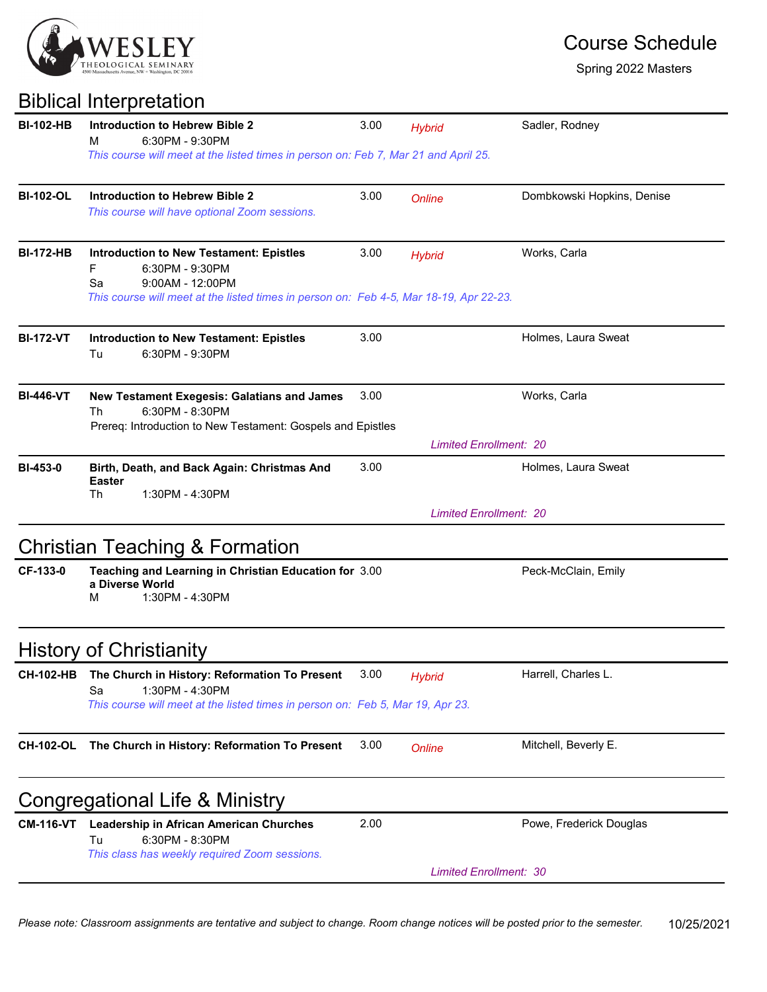

# Biblical Interpretation

| <b>BI-102-HB</b> | Introduction to Hebrew Bible 2<br>6:30PM - 9:30PM<br>M                                                                                                                                     | 3.00                          | <b>Hybrid</b> | Sadler, Rodney                |  |
|------------------|--------------------------------------------------------------------------------------------------------------------------------------------------------------------------------------------|-------------------------------|---------------|-------------------------------|--|
|                  | This course will meet at the listed times in person on: Feb 7, Mar 21 and April 25.                                                                                                        |                               |               |                               |  |
| <b>BI-102-OL</b> | <b>Introduction to Hebrew Bible 2</b><br>This course will have optional Zoom sessions.                                                                                                     | 3.00                          | Online        | Dombkowski Hopkins, Denise    |  |
| <b>BI-172-HB</b> | <b>Introduction to New Testament: Epistles</b><br>6:30PM - 9:30PM<br>F<br>9:00AM - 12:00PM<br>Sa<br>This course will meet at the listed times in person on: Feb 4-5, Mar 18-19, Apr 22-23. | 3.00                          | <b>Hybrid</b> | Works, Carla                  |  |
|                  |                                                                                                                                                                                            |                               |               |                               |  |
| <b>BI-172-VT</b> | <b>Introduction to New Testament: Epistles</b><br>Tu<br>6:30PM - 9:30PM                                                                                                                    | 3.00                          |               | Holmes, Laura Sweat           |  |
| <b>BI-446-VT</b> | <b>New Testament Exegesis: Galatians and James</b><br>6:30PM - 8:30PM<br>Th                                                                                                                | 3.00                          |               | Works, Carla                  |  |
|                  | Prereq: Introduction to New Testament: Gospels and Epistles                                                                                                                                |                               |               | <b>Limited Enrollment: 20</b> |  |
| <b>BI-453-0</b>  | Birth, Death, and Back Again: Christmas And<br><b>Easter</b><br>1:30PM - 4:30PM<br>Th                                                                                                      | 3.00                          |               | Holmes, Laura Sweat           |  |
|                  |                                                                                                                                                                                            | <b>Limited Enrollment: 20</b> |               |                               |  |
|                  | Christian Teaching & Formation                                                                                                                                                             |                               |               |                               |  |
| CF-133-0         | Teaching and Learning in Christian Education for 3.00<br>a Diverse World<br>1:30PM - 4:30PM<br>м                                                                                           |                               |               | Peck-McClain, Emily           |  |
|                  | <b>History of Christianity</b>                                                                                                                                                             |                               |               |                               |  |
| <b>CH-102-HB</b> | The Church in History: Reformation To Present<br>1:30PM - 4:30PM<br>Sa                                                                                                                     | 3.00                          | <b>Hybrid</b> | Harrell, Charles L.           |  |
|                  | This course will meet at the listed times in person on: Feb 5, Mar 19, Apr 23.                                                                                                             |                               |               |                               |  |
| <b>CH-102-OL</b> | The Church in History: Reformation To Present                                                                                                                                              | 3.00                          | Online        | Mitchell, Beverly E.          |  |
|                  | Congregational Life & Ministry                                                                                                                                                             |                               |               |                               |  |
| <b>CM-116-VT</b> | Leadership in African American Churches<br>6:30PM - 8:30PM<br>Tu<br>This class has weekly required Zoom sessions.                                                                          | 2.00                          |               | Powe, Frederick Douglas       |  |
|                  |                                                                                                                                                                                            |                               |               | <b>Limited Enrollment: 30</b> |  |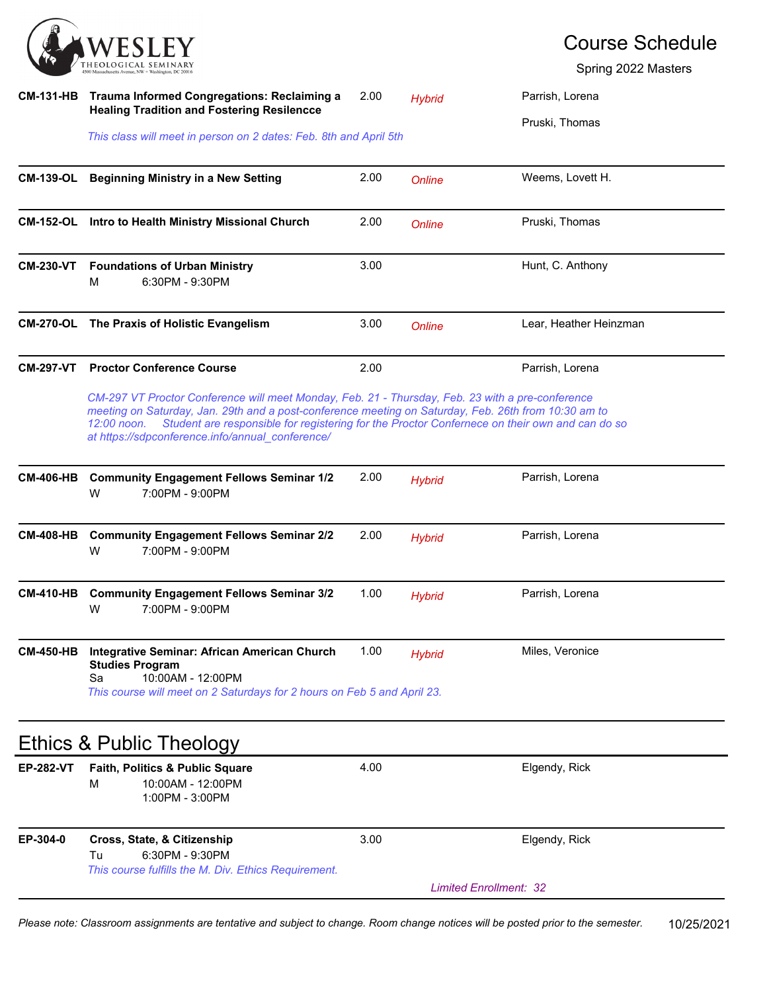

Spring 2022 Masters

|                  | CM-131-HB Trauma Informed Congregations: Reclaiming a<br><b>Healing Tradition and Fostering Resilencce</b>                                                                                                                                                                                                                                                                   | 2.00 | <b>Hybrid</b> | Parrish, Lorena               |
|------------------|------------------------------------------------------------------------------------------------------------------------------------------------------------------------------------------------------------------------------------------------------------------------------------------------------------------------------------------------------------------------------|------|---------------|-------------------------------|
|                  | This class will meet in person on 2 dates: Feb. 8th and April 5th                                                                                                                                                                                                                                                                                                            |      |               | Pruski, Thomas                |
|                  | <b>CM-139-OL</b> Beginning Ministry in a New Setting                                                                                                                                                                                                                                                                                                                         | 2.00 | Online        | Weems, Lovett H.              |
|                  | <b>CM-152-OL</b> Intro to Health Ministry Missional Church                                                                                                                                                                                                                                                                                                                   | 2.00 | Online        | Pruski, Thomas                |
|                  | <b>CM-230-VT</b> Foundations of Urban Ministry<br>6:30PM - 9:30PM<br>м                                                                                                                                                                                                                                                                                                       | 3.00 |               | Hunt, C. Anthony              |
|                  | <b>CM-270-OL</b> The Praxis of Holistic Evangelism                                                                                                                                                                                                                                                                                                                           | 3.00 | <b>Online</b> | Lear, Heather Heinzman        |
| <b>CM-297-VT</b> | <b>Proctor Conference Course</b>                                                                                                                                                                                                                                                                                                                                             | 2.00 |               | Parrish, Lorena               |
|                  | CM-297 VT Proctor Conference will meet Monday, Feb. 21 - Thursday, Feb. 23 with a pre-conference<br>meeting on Saturday, Jan. 29th and a post-conference meeting on Saturday, Feb. 26th from 10:30 am to<br>Student are responsible for registering for the Proctor Confernece on their own and can do so<br>12:00 noon.<br>at https://sdpconference.info/annual_conference/ |      |               |                               |
|                  | CM-406-HB Community Engagement Fellows Seminar 1/2<br>W<br>7:00PM - 9:00PM                                                                                                                                                                                                                                                                                                   | 2.00 | <b>Hybrid</b> | Parrish, Lorena               |
| <b>CM-408-HB</b> | <b>Community Engagement Fellows Seminar 2/2</b><br>7:00PM - 9:00PM<br>W                                                                                                                                                                                                                                                                                                      | 2.00 | <b>Hybrid</b> | Parrish, Lorena               |
|                  | CM-410-HB Community Engagement Fellows Seminar 3/2<br>7:00PM - 9:00PM<br>W                                                                                                                                                                                                                                                                                                   | 1.00 | <b>Hybrid</b> | Parrish, Lorena               |
|                  | <b>CM-450-HB</b> Integrative Seminar: African American Church<br><b>Studies Program</b><br>10:00AM - 12:00PM<br>Sa<br>This course will meet on 2 Saturdays for 2 hours on Feb 5 and April 23.                                                                                                                                                                                | 1.00 | <b>Hybrid</b> | Miles, Veronice               |
|                  | Ethics & Public Theology                                                                                                                                                                                                                                                                                                                                                     |      |               |                               |
| <b>EP-282-VT</b> | Faith, Politics & Public Square<br>10:00AM - 12:00PM<br>M<br>1:00PM - 3:00PM                                                                                                                                                                                                                                                                                                 | 4.00 |               | Elgendy, Rick                 |
| EP-304-0         | Cross, State, & Citizenship<br>6:30PM - 9:30PM<br>Tu<br>This course fulfills the M. Div. Ethics Requirement.                                                                                                                                                                                                                                                                 | 3.00 |               | Elgendy, Rick                 |
|                  |                                                                                                                                                                                                                                                                                                                                                                              |      |               | <b>Limited Enrollment: 32</b> |

*Please note: Classroom assignments are tentative and subject to change. Room change notices will be posted prior to the semester.* 10/25/2021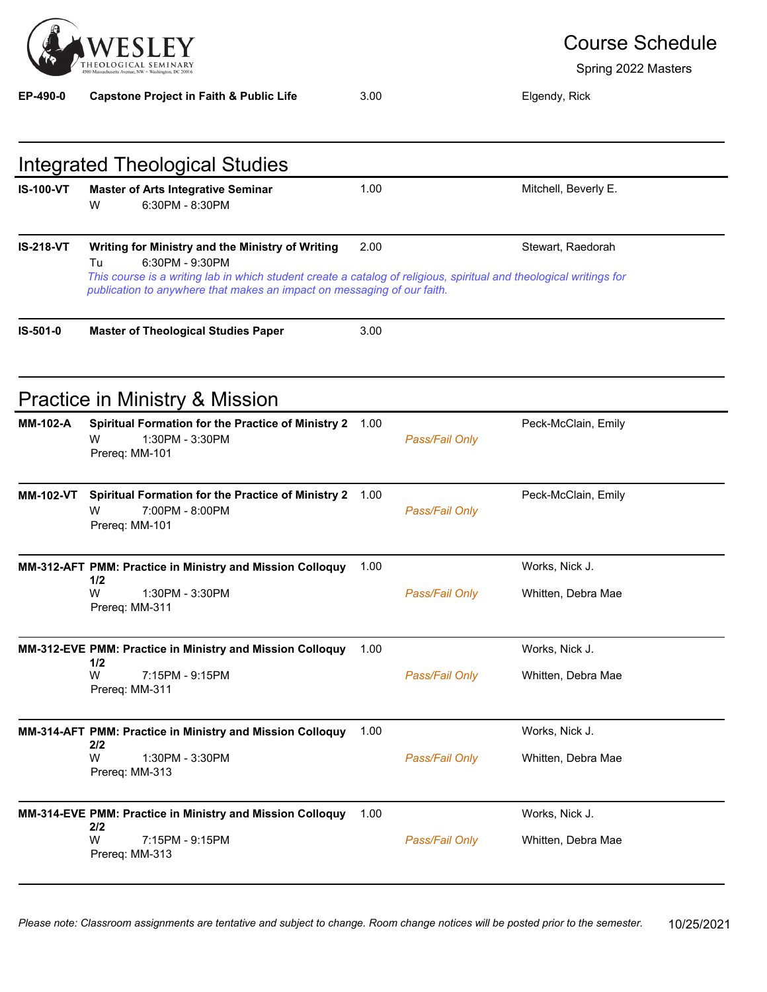

| EP-490-0         | <b>Capstone Project in Faith &amp; Public Life</b>                                                                                                                                                                                                                          | 3.00 |                | Elgendy, Rick                        |  |
|------------------|-----------------------------------------------------------------------------------------------------------------------------------------------------------------------------------------------------------------------------------------------------------------------------|------|----------------|--------------------------------------|--|
|                  |                                                                                                                                                                                                                                                                             |      |                |                                      |  |
|                  | <b>Integrated Theological Studies</b>                                                                                                                                                                                                                                       |      |                |                                      |  |
| <b>IS-100-VT</b> | <b>Master of Arts Integrative Seminar</b><br>W<br>6:30PM - 8:30PM                                                                                                                                                                                                           | 1.00 |                | Mitchell, Beverly E.                 |  |
| <b>IS-218-VT</b> | Writing for Ministry and the Ministry of Writing<br>6:30PM - 9:30PM<br>Tu<br>This course is a writing lab in which student create a catalog of religious, spiritual and theological writings for<br>publication to anywhere that makes an impact on messaging of our faith. | 2.00 |                | Stewart, Raedorah                    |  |
| IS-501-0         | <b>Master of Theological Studies Paper</b>                                                                                                                                                                                                                                  | 3.00 |                |                                      |  |
|                  | Practice in Ministry & Mission                                                                                                                                                                                                                                              |      |                |                                      |  |
| <b>MM-102-A</b>  | Spiritual Formation for the Practice of Ministry 2<br>W<br>1:30PM - 3:30PM<br>Prereq: MM-101                                                                                                                                                                                | 1.00 | Pass/Fail Only | Peck-McClain, Emily                  |  |
| <b>MM-102-VT</b> | <b>Spiritual Formation for the Practice of Ministry 2</b><br>7:00PM - 8:00PM<br>W<br>Prereq: MM-101                                                                                                                                                                         | 1.00 | Pass/Fail Only | Peck-McClain, Emily                  |  |
|                  | MM-312-AFT PMM: Practice in Ministry and Mission Colloquy<br>1/2<br>W<br>1:30PM - 3:30PM<br>Prereq: MM-311                                                                                                                                                                  | 1.00 | Pass/Fail Only | Works, Nick J.<br>Whitten, Debra Mae |  |
|                  | MM-312-EVE PMM: Practice in Ministry and Mission Colloquy<br>1/2<br>W<br>7:15PM - 9:15PM<br>Prereq: MM-311                                                                                                                                                                  | 1.00 | Pass/Fail Only | Works, Nick J.<br>Whitten, Debra Mae |  |
|                  | MM-314-AFT PMM: Practice in Ministry and Mission Colloquy<br>2/2<br>W<br>1:30PM - 3:30PM<br>Prereq: MM-313                                                                                                                                                                  | 1.00 | Pass/Fail Only | Works, Nick J.<br>Whitten, Debra Mae |  |
|                  | MM-314-EVE PMM: Practice in Ministry and Mission Colloquy<br>2/2<br>W<br>7:15PM - 9:15PM<br>Prereq: MM-313                                                                                                                                                                  | 1.00 | Pass/Fail Only | Works, Nick J.<br>Whitten, Debra Mae |  |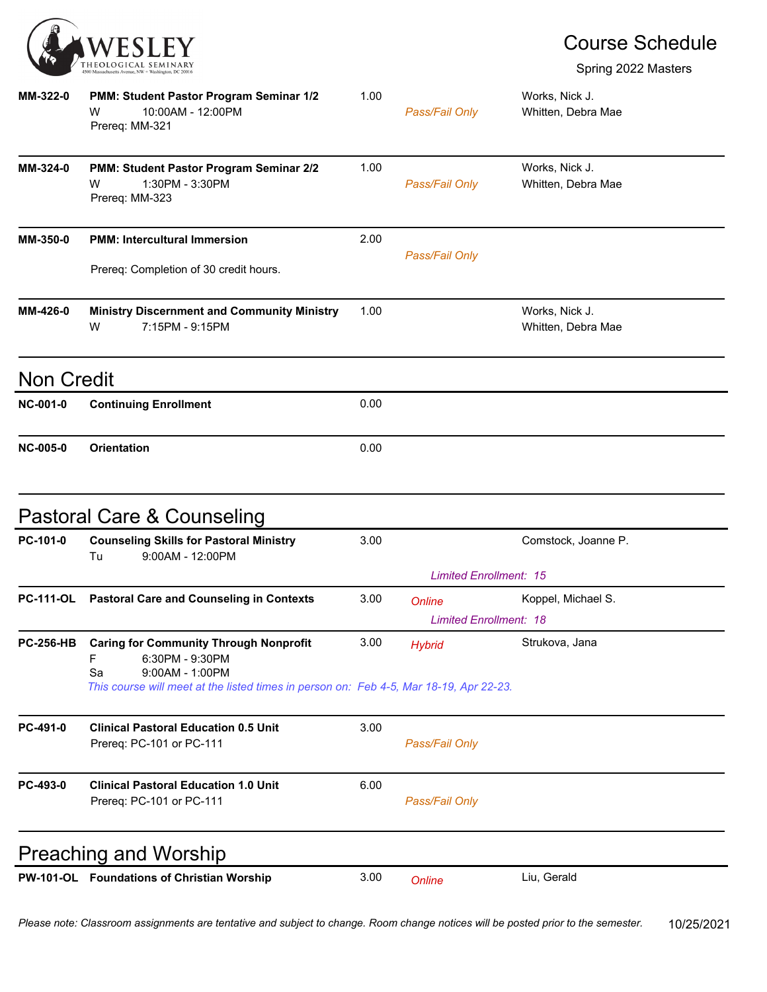

| MM-322-0          | PMM: Student Pastor Program Seminar 1/2<br>10:00AM - 12:00PM<br>W<br>Prereq: MM-321            | 1.00 | Pass/Fail Only                          | Works, Nick J.<br>Whitten, Debra Mae |
|-------------------|------------------------------------------------------------------------------------------------|------|-----------------------------------------|--------------------------------------|
| MM-324-0          | PMM: Student Pastor Program Seminar 2/2<br>1:30PM - 3:30PM<br>W<br>Prereq: MM-323              | 1.00 | Pass/Fail Only                          | Works, Nick J.<br>Whitten, Debra Mae |
| MM-350-0          | <b>PMM: Intercultural Immersion</b>                                                            | 2.00 |                                         |                                      |
|                   | Prereq: Completion of 30 credit hours.                                                         |      | Pass/Fail Only                          |                                      |
| MM-426-0          | <b>Ministry Discernment and Community Ministry</b><br>7:15PM - 9:15PM<br>W                     | 1.00 |                                         | Works, Nick J.<br>Whitten, Debra Mae |
| <b>Non Credit</b> |                                                                                                |      |                                         |                                      |
| <b>NC-001-0</b>   | <b>Continuing Enrollment</b>                                                                   | 0.00 |                                         |                                      |
| <b>NC-005-0</b>   | <b>Orientation</b>                                                                             | 0.00 |                                         |                                      |
|                   | Pastoral Care & Counseling                                                                     |      |                                         |                                      |
| PC-101-0          | <b>Counseling Skills for Pastoral Ministry</b><br>9:00AM - 12:00PM<br>Tu                       | 3.00 |                                         | Comstock, Joanne P.                  |
|                   |                                                                                                |      | <b>Limited Enrollment: 15</b>           |                                      |
| <b>PC-111-OL</b>  | <b>Pastoral Care and Counseling in Contexts</b>                                                | 3.00 | Online                                  | Koppel, Michael S.                   |
| <b>PC-256-HB</b>  | <b>Caring for Community Through Nonprofit</b><br>F<br>6:30PM - 9:30PM<br>Sa<br>9:00AM - 1:00PM | 3.00 | <b>Limited Enrollment: 18</b><br>Hybrid | Strukova, Jana                       |
|                   | This course will meet at the listed times in person on: Feb 4-5, Mar 18-19, Apr 22-23.         |      |                                         |                                      |
| PC-491-0          | <b>Clinical Pastoral Education 0.5 Unit</b><br>Prereq: PC-101 or PC-111                        | 3.00 | Pass/Fail Only                          |                                      |
| PC-493-0          | <b>Clinical Pastoral Education 1.0 Unit</b><br>Prereq: PC-101 or PC-111                        | 6.00 | Pass/Fail Only                          |                                      |
|                   | <b>Preaching and Worship</b>                                                                   |      |                                         |                                      |
|                   | PW-101-OL Foundations of Christian Worship                                                     | 3.00 | Online                                  | Liu, Gerald                          |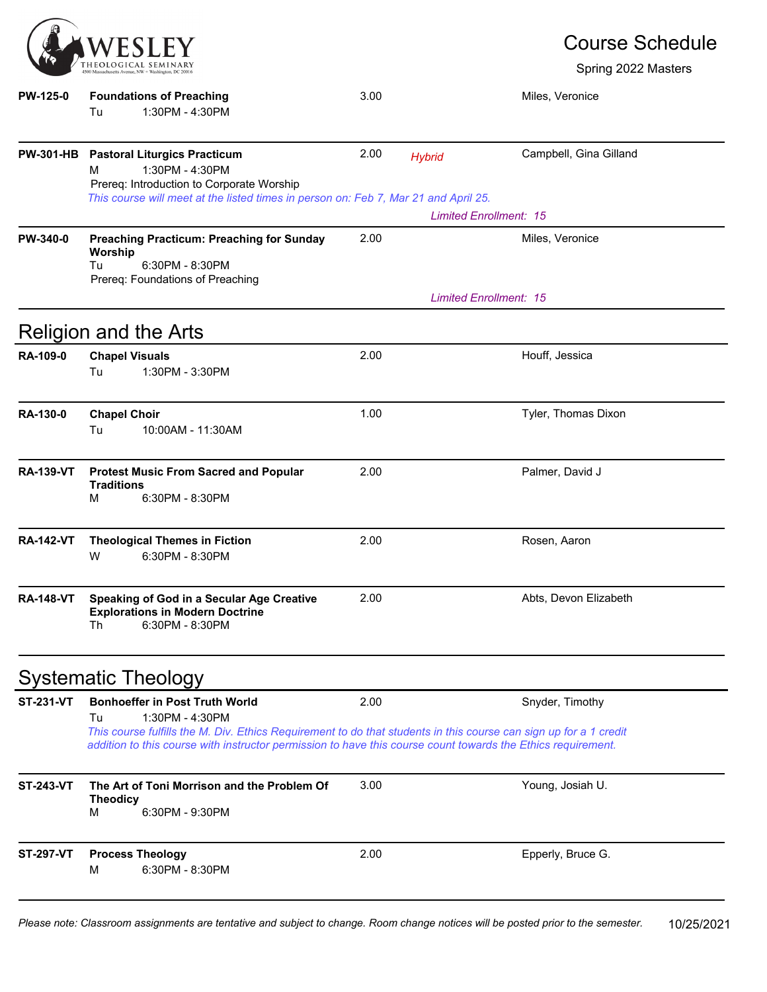

Spring 2022 Masters

| <b>PW-125-0</b>  | <b>Foundations of Preaching</b><br>1:30PM - 4:30PM<br>Tu                                                                                                                                                                          | 3.00 |               | Miles, Veronice               |  |
|------------------|-----------------------------------------------------------------------------------------------------------------------------------------------------------------------------------------------------------------------------------|------|---------------|-------------------------------|--|
|                  | PW-301-HB Pastoral Liturgics Practicum<br>1:30PM - 4:30PM<br>м<br>Prereq: Introduction to Corporate Worship                                                                                                                       | 2.00 | <b>Hybrid</b> | Campbell, Gina Gilland        |  |
|                  | This course will meet at the listed times in person on: Feb 7, Mar 21 and April 25.                                                                                                                                               |      |               | <b>Limited Enrollment: 15</b> |  |
| PW-340-0         | <b>Preaching Practicum: Preaching for Sunday</b><br>Worship<br>6:30PM - 8:30PM<br>Tu                                                                                                                                              | 2.00 |               | Miles, Veronice               |  |
|                  | Prereq: Foundations of Preaching                                                                                                                                                                                                  |      |               | <b>Limited Enrollment: 15</b> |  |
|                  | <b>Religion and the Arts</b>                                                                                                                                                                                                      |      |               |                               |  |
| <b>RA-109-0</b>  | <b>Chapel Visuals</b><br>1:30PM - 3:30PM<br>Tu                                                                                                                                                                                    | 2.00 |               | Houff, Jessica                |  |
| <b>RA-130-0</b>  | <b>Chapel Choir</b><br>10:00AM - 11:30AM<br>Tu                                                                                                                                                                                    | 1.00 |               | Tyler, Thomas Dixon           |  |
| <b>RA-139-VT</b> | <b>Protest Music From Sacred and Popular</b><br><b>Traditions</b><br>6:30PM - 8:30PM<br>м                                                                                                                                         | 2.00 |               | Palmer, David J               |  |
| <b>RA-142-VT</b> | <b>Theological Themes in Fiction</b><br>W<br>6:30PM - 8:30PM                                                                                                                                                                      | 2.00 |               | Rosen, Aaron                  |  |
| <b>RA-148-VT</b> | Speaking of God in a Secular Age Creative<br><b>Explorations in Modern Doctrine</b><br>6:30PM - 8:30PM<br>Th                                                                                                                      | 2.00 |               | Abts, Devon Elizabeth         |  |
|                  | <b>Systematic Theology</b>                                                                                                                                                                                                        |      |               |                               |  |
| <b>ST-231-VT</b> | <b>Bonhoeffer in Post Truth World</b><br>1:30PM - 4:30PM<br>Tu                                                                                                                                                                    | 2.00 |               | Snyder, Timothy               |  |
|                  | This course fulfills the M. Div. Ethics Requirement to do that students in this course can sign up for a 1 credit<br>addition to this course with instructor permission to have this course count towards the Ethics requirement. |      |               |                               |  |
| <b>ST-243-VT</b> | The Art of Toni Morrison and the Problem Of<br><b>Theodicy</b><br>м<br>6:30PM - 9:30PM                                                                                                                                            | 3.00 |               | Young, Josiah U.              |  |
| <b>ST-297-VT</b> | <b>Process Theology</b><br>6:30PM - 8:30PM<br>M                                                                                                                                                                                   | 2.00 |               | Epperly, Bruce G.             |  |

*Please note: Classroom assignments are tentative and subject to change. Room change notices will be posted prior to the semester.* 10/25/2021